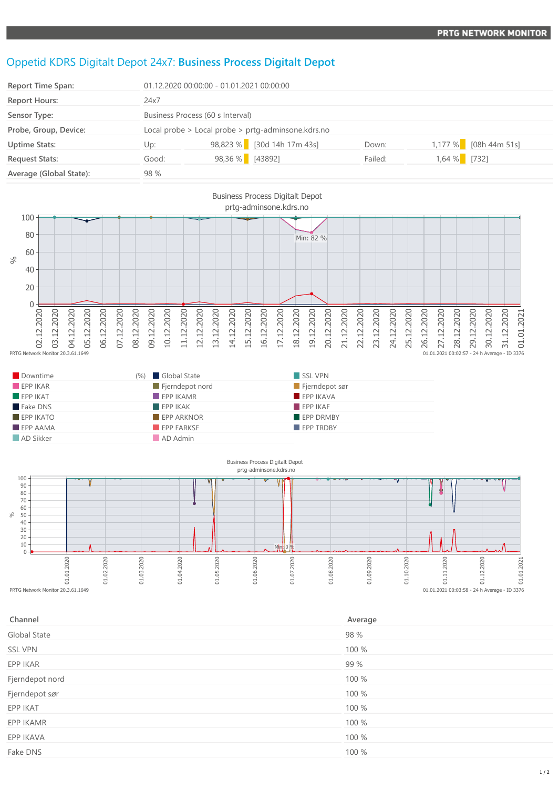## Oppetid KDRS Digitalt Depot 24x7: **Business Process Digitalt Depot**

| Report Time Span:       |                                                    | 01.12.2020 00:00:00 - 01.01.2021 00:00:00 |         |                       |  |
|-------------------------|----------------------------------------------------|-------------------------------------------|---------|-----------------------|--|
| <b>Report Hours:</b>    | 24x7                                               |                                           |         |                       |  |
| Sensor Type:            | Business Process (60 s Interval)                   |                                           |         |                       |  |
| Probe, Group, Device:   | Local probe > Local probe > prtg-adminsone.kdrs.no |                                           |         |                       |  |
| <b>Uptime Stats:</b>    | Up:                                                | 98,823 % [30d 14h 17m 43s]                | Down:   | 1,177 % [08h 44m 51s] |  |
| <b>Request Stats:</b>   | Good:                                              | 98,36 % [43892]                           | Failed: | $1,64%$ [732]         |  |
| Average (Global State): | 98 %                                               |                                           |         |                       |  |



| Downtime                | (%) Global State         | SSL VPN          |
|-------------------------|--------------------------|------------------|
| EPPIKAR                 | Fjerndepot nord          | Fjerndepot sør   |
| $\blacksquare$ EPP IKAT | $\blacksquare$ EPP IKAMR | EPP IKAVA        |
| Fake DNS                | EPPIKAK                  | EPPIKAF          |
| $EPP$ IKATO             | <b>EPP ARKNOR</b>        | <b>EPP DRMBY</b> |
| $\blacksquare$ EPP AAMA | EPP FARKSF               | <b>EPP TRDBY</b> |
| AD Sikker               | AD Admin                 |                  |



| Channel         | Average |
|-----------------|---------|
| Global State    | 98 %    |
| <b>SSL VPN</b>  | 100 %   |
| EPP IKAR        | 99 %    |
| Fjerndepot nord | 100 %   |
| Fjerndepot sør  | 100 %   |
| EPP IKAT        | 100 %   |
| EPP IKAMR       | 100 %   |
| EPP IKAVA       | 100 %   |
| Fake DNS        | 100 %   |
|                 |         |